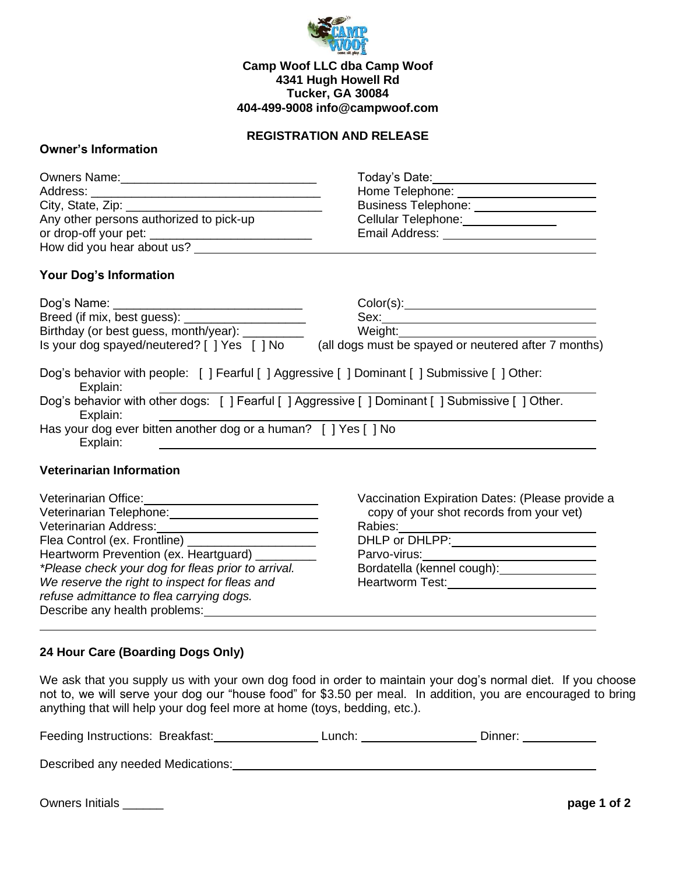

### **Camp Woof LLC dba Camp Woof 4341 Hugh Howell Rd Tucker, GA 30084 404-499-9008 info@campwoof.com**

### **REGISTRATION AND RELEASE**

### **Owner's Information**

|                                         | Today's Date: 1988                       |
|-----------------------------------------|------------------------------------------|
|                                         | Home Telephone: <u>_________________</u> |
|                                         | Business Telephone: ________________     |
| Any other persons authorized to pick-up | Cellular Telephone: ____________         |
|                                         | Email Address: _________                 |
| How did you hear about us?              |                                          |
|                                         |                                          |

# **Your Dog's Information**

| Dog's Name:                                                                                                   | Color(s):                                            |
|---------------------------------------------------------------------------------------------------------------|------------------------------------------------------|
|                                                                                                               | Sex:                                                 |
| Birthday (or best guess, month/year): ___________                                                             | Weight:                                              |
| Is your dog spayed/neutered? [ ] Yes [ ] No                                                                   | (all dogs must be spayed or neutered after 7 months) |
| Dog's behavior with people: [ ] Fearful [ ] Aggressive [ ] Dominant [ ] Submissive [ ] Other:<br>Explain:     |                                                      |
| Dog's behavior with other dogs: [ ] Fearful [ ] Aggressive [ ] Dominant [ ] Submissive [ ] Other.<br>Explain: |                                                      |
| Has your dog ever bitten another dog or a human? [ ] Yes [ ] No<br>Explain:                                   |                                                      |
|                                                                                                               |                                                      |

## **Veterinarian Information**

| Veterinarian Office:                               | Vaccination Expiration Dates: (Please provide a |  |
|----------------------------------------------------|-------------------------------------------------|--|
| Veterinarian Telephone:                            | copy of your shot records from your vet)        |  |
| Veterinarian Address:                              | Rabies:                                         |  |
| Flea Control (ex. Frontline) ___                   | DHLP or DHLPP:                                  |  |
| Heartworm Prevention (ex. Heartguard) _____        | Parvo-virus:                                    |  |
| *Please check your dog for fleas prior to arrival. | Bordatella (kennel cough): _______              |  |
| We reserve the right to inspect for fleas and      | Heartworm Test:                                 |  |
| refuse admittance to flea carrying dogs.           |                                                 |  |
| Describe any health problems:                      |                                                 |  |

#### **24 Hour Care (Boarding Dogs Only)**

We ask that you supply us with your own dog food in order to maintain your dog's normal diet. If you choose not to, we will serve your dog our "house food" for \$3.50 per meal. In addition, you are encouraged to bring anything that will help your dog feel more at home (toys, bedding, etc.).

| Feeding Instructions: Breakfast: | Lunch: | ⊃ınner <sup>.</sup> |
|----------------------------------|--------|---------------------|
|                                  |        |                     |

Described any needed Medications: Described any needed Medications:

Owners Initials \_\_\_\_\_\_ **page 1 of 2**